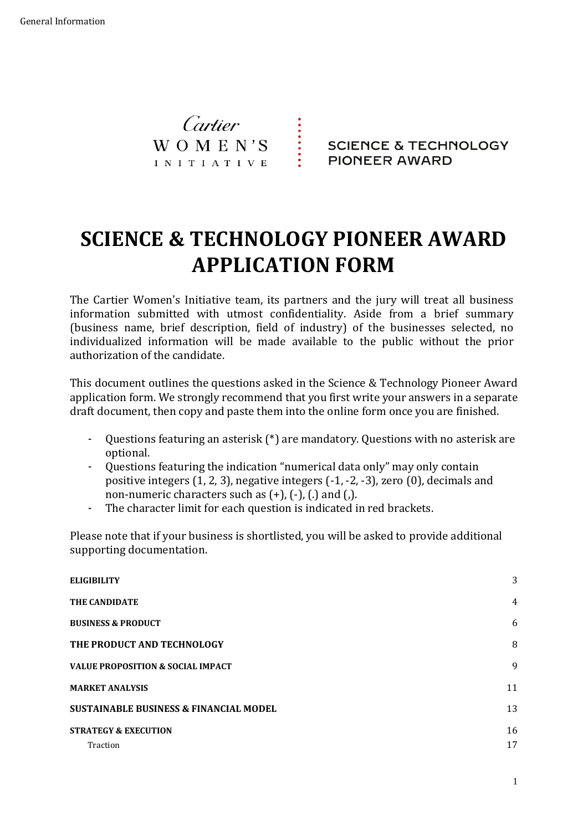

**SCIENCE & TECHNOLOGY** PIONEER AWARD

# **SCIENCE & TECHNOLOGY PIONEER AWARD APPLICATION FORM**

The Cartier Women's Initiative team, its partners and the jury will treat all business information submitted with utmost confidentiality. Aside from a brief summary (business name, brief description, field of industry) of the businesses selected, no individualized information will be made available to the public without the prior authorization of the candidate.

This document outlines the questions asked in the Science & Technology Pioneer Award application form. We strongly recommend that you first write your answers in a separate draft document, then copy and paste them into the online form once you are finished.

- Questions featuring an asterisk (\*) are mandatory. Questions with no asterisk are optional.
- Questions featuring the indication "numerical data only" may only contain positive integers (1, 2, 3), negative integers (-1, -2, -3), zero (0), decimals and non-numeric characters such as (+), (-), (.) and (,).
- The character limit for each question is indicated in red brackets.

Please note that if your business is shortlisted, you will be asked to provide additional supporting documentation.

| <b>ELIGIBILITY</b>                                | 3              |
|---------------------------------------------------|----------------|
| THE CANDIDATE                                     | $\overline{4}$ |
| <b>BUSINESS &amp; PRODUCT</b>                     | 6              |
| THE PRODUCT AND TECHNOLOGY                        | 8              |
| <b>VALUE PROPOSITION &amp; SOCIAL IMPACT</b>      | 9              |
| <b>MARKET ANALYSIS</b>                            | 11             |
| <b>SUSTAINABLE BUSINESS &amp; FINANCIAL MODEL</b> | 13             |
| <b>STRATEGY &amp; EXECUTION</b>                   | 16             |
| Traction                                          | 17             |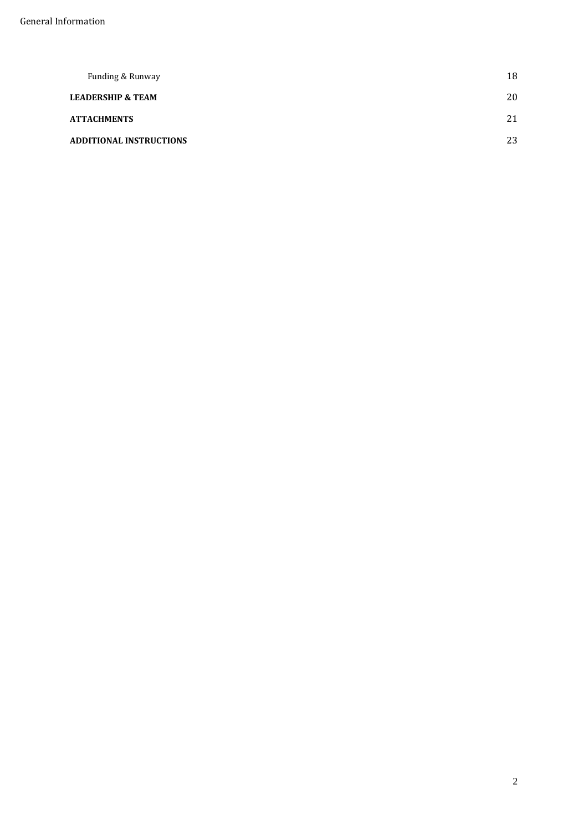| Funding & Runway               | 18 |
|--------------------------------|----|
| <b>LEADERSHIP &amp; TEAM</b>   | 20 |
| <b>ATTACHMENTS</b>             | 21 |
| <b>ADDITIONAL INSTRUCTIONS</b> | 23 |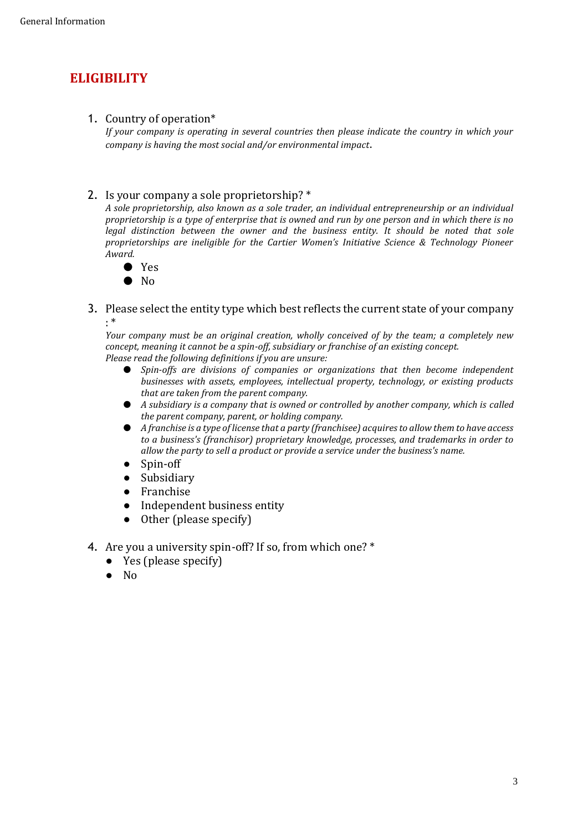# <span id="page-2-0"></span>**ELIGIBILITY**

### 1. Country of operation\*

*If your company is operating in several countries then please indicate the country in which your company is having the most social and/or environmental impact*.

### 2. Is your company a sole proprietorship? \*

*A sole proprietorship, also known as a sole trader, an individual entrepreneurship or an individual proprietorship is a type of enterprise that is owned and run by one person and in which there is no*  legal distinction between the owner and the business entity. It should be noted that sole *proprietorships are ineligible for the Cartier Women's Initiative Science & Technology Pioneer Award.*

- Yes
- $\bullet$  No
- 3. Please select the entity type which best reflects the current state of your company : \*

*Your company must be an original creation, wholly conceived of by the team; a completely new concept, meaning it cannot be a spin-off, subsidiary or franchise of an existing concept. Please read the following definitions if you are unsure:* 

- *Spin-offs are divisions of companies or organizations that then become independent businesses with assets, employees, intellectual property, technology, or existing products that are taken from the parent company.*
- *A subsidiary is a company that is owned or controlled by another company, which is called the parent company, parent, or holding company.*
- *A franchise is a type of license that a party (franchisee) acquires to allow them to have access to a business's (franchisor) proprietary knowledge, processes, and trademarks in order to allow the party to sell a product or provide a service under the business's name.*
- Spin-off
- Subsidiary
- Franchise
- Independent business entity
- Other (please specify)
- 4. Are you a university spin-off? If so, from which one? \*
	- Yes (please specify)
	- No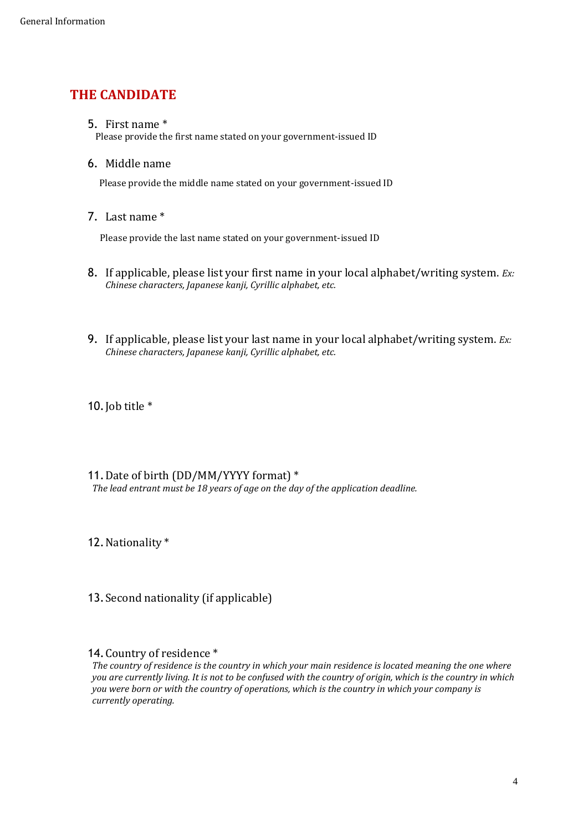# <span id="page-3-0"></span>**THE CANDIDATE**

5. First name \*

Please provide the first name stated on your government-issued ID

6. Middle name

Please provide the middle name stated on your government-issued ID

7. Last name \*

Please provide the last name stated on your government-issued ID

- 8. If applicable, please list your first name in your local alphabet/writing system. *Ex: Chinese characters, Japanese kanji, Cyrillic alphabet, etc.*
- 9. If applicable, please list your last name in your local alphabet/writing system. *Ex: Chinese characters, Japanese kanji, Cyrillic alphabet, etc.*

10. Job title  $*$ 

11.Date of birth (DD/MM/YYYY format) \* *The lead entrant must be 18 years of age on the day of the application deadline.*

12.Nationality \*

13.Second nationality (if applicable)

#### 14.Country of residence \*

*The country of residence is the country in which your main residence is located meaning the one where you are currently living. It is not to be confused with the country of origin, which is the country in which you were born or with the country of operations, which is the country in which your company is currently operating.*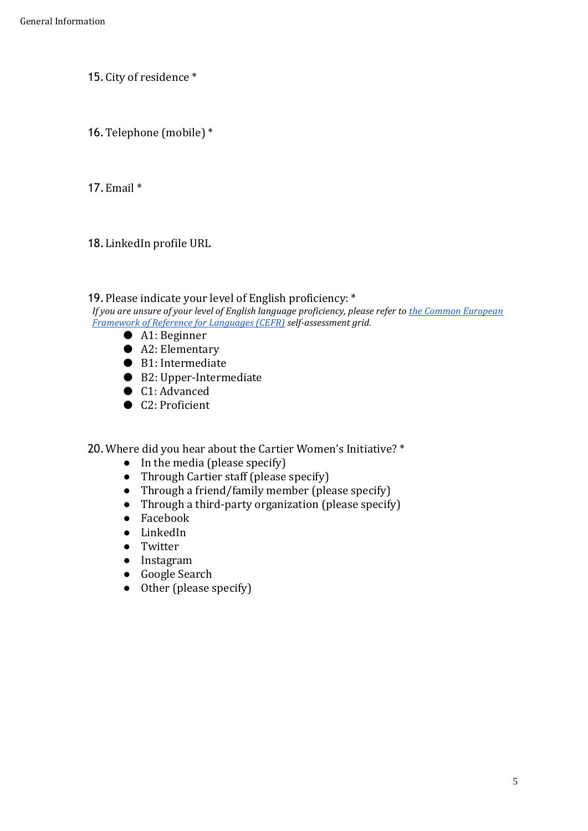- 15.City of residence \*
- 16.Telephone (mobile) \*

17.Email \*

18.LinkedIn profile URL

### 19.Please indicate your level of English proficiency: \*

*If you are unsure of your level of English language proficiency, please refer to [the Common European](https://www.coe.int/en/web/common-european-framework-reference-languages/table-1-cefr-3.3-common-reference-levels-global-scale)  Framework [of Reference for Languages \(CEFR\)](https://www.coe.int/en/web/common-european-framework-reference-languages/table-1-cefr-3.3-common-reference-levels-global-scale) self-assessment grid.*

- A1: Beginner
- A2: Elementary
- B1: Intermediate
- B2: Upper-Intermediate
- C1: Advanced
- C2: Proficient

20.Where did you hear about the Cartier Women's Initiative? \*

- $\bullet$  In the media (please specify)
- Through Cartier staff (please specify)
- Through a friend/family member (please specify)
- Through a third-party organization (please specify)
- Facebook
- LinkedIn
- Twitter
- Instagram
- Google Search
- Other (please specify)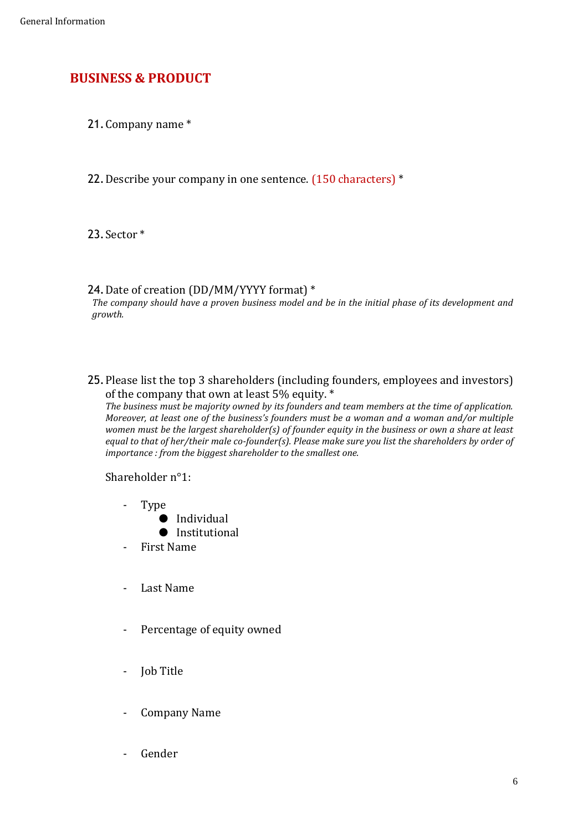# <span id="page-5-0"></span>**BUSINESS & PRODUCT**

21.Company name \*

22.Describe your company in one sentence. (150 characters) \*

23.Sector \*

### 24.Date of creation (DD/MM/YYYY format) \*

*The company should have a proven business model and be in the initial phase of its development and growth.*

25.Please list the top 3 shareholders (including founders, employees and investors) of the company that own at least 5% equity. \*

*The business must be majority owned by its founders and team members at the time of application. Moreover, at least one of the business's founders must be a woman and a woman and/or multiple women must be the largest shareholder(s) of founder equity in the business or own a share at least equal to that of her/their male co-founder(s). Please make sure you list the shareholders by order of importance : from the biggest shareholder to the smallest one.*

Shareholder n°1:

- Type
	- Individual
	- Institutional
- First Name
- Last Name
- Percentage of equity owned
- Job Title
- Company Name
- Gender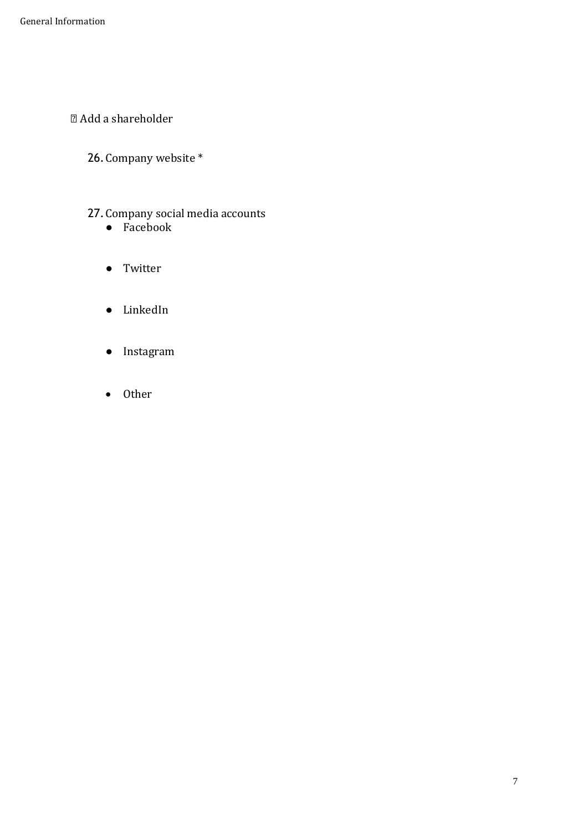- Add a shareholder
	- 26.Company website \*

### 27.Company social media accounts

- Facebook
- Twitter
- LinkedIn
- Instagram
- Other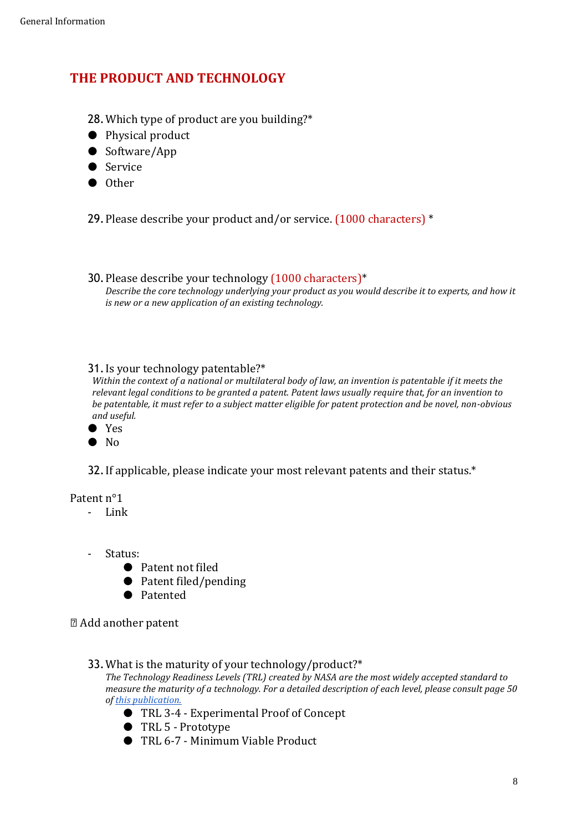# <span id="page-7-0"></span>**THE PRODUCT AND TECHNOLOGY**

- 28.Which type of product are you building?\*
- Physical product
- Software/App
- Service
- Other

29.Please describe your product and/or service. (1000 characters) \*

30.Please describe your technology (1000 characters)\* *Describe the core technology underlying your product as you would describe it to experts, and how it is new or a new application of an existing technology.*

#### 31.Is your technology patentable?\*

*Within the context of a national or multilateral body of law, an invention is patentable if it meets the relevant legal conditions to be granted a patent. Patent laws usually require that, for an invention to be patentable, it must refer to a subject matter eligible for patent protection and be novel, non-obvious and useful.*

- Yes
- $\bullet$  No

32. If applicable, please indicate your most relevant patents and their status.<sup>\*</sup>

Patent n°1

- Link
- Status:
	- Patent not filed
	- Patent filed/pending
	- Patented

Add another patent

33.What is the maturity of your technology/product?\*

*The Technology Readiness Levels (TRL) created by NASA are the most widely accepted standard to measure the maturity of a technology. For a detailed description of each level, please consult page 50 of [this publication.](http://media-publications.bcg.com/from-tech-to-deep-tech.pdf)*

- TRL 3-4 Experimental Proof of Concept
- TRL 5 Prototype
- TRL 6-7 Minimum Viable Product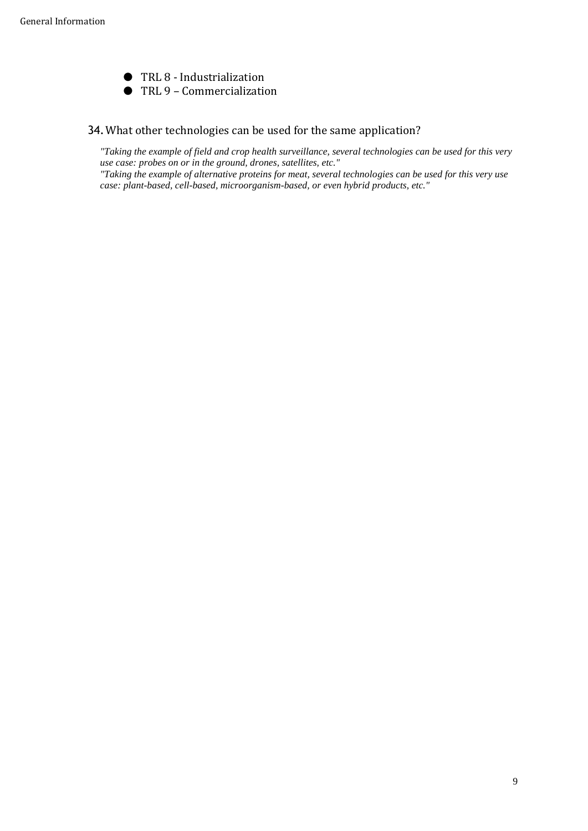● TRL 8 - Industrialization ● TRL 9 – Commercialization

#### 34.What other technologies can be used for the same application?

*"Taking the example of field and crop health surveillance, several technologies can be used for this very use case: probes on or in the ground, drones, satellites, etc."*

<span id="page-8-0"></span>*"Taking the example of alternative proteins for meat, several technologies can be used for this very use case: plant-based, cell-based, microorganism-based, or even hybrid products, etc."*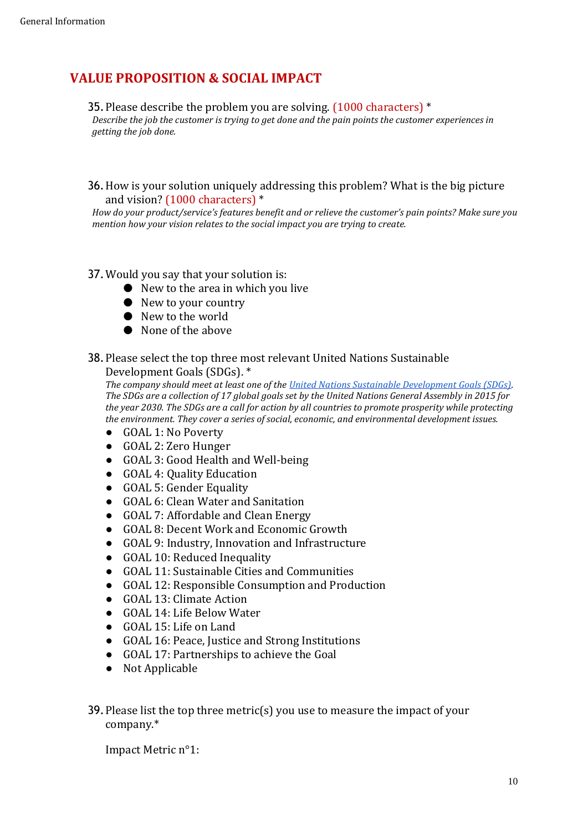# **VALUE PROPOSITION & SOCIAL IMPACT**

### 35.Please describe the problem you are solving. (1000 characters) \*

*Describe the job the customer is trying to get done and the pain points the customer experiences in getting the job done.*

#### 36.How is your solution uniquely addressing this problem? What is the big picture and vision? (1000 characters) \*

*How do your product/service's features benefit and or relieve the customer's pain points? Make sure you mention how your vision relates to the social impact you are trying to create.*

### 37.Would you say that your solution is:

- New to the area in which you live
- New to your country
- New to the world
- None of the above

#### 38.Please select the top three most relevant United Nations Sustainable Development Goals (SDGs). \*

*The company should meet at least one of the [United Nations Sustainable Development Goals \(SDGs\).](https://sdgs.un.org/goals) The SDGs are a collection of 17 global goals set by the United Nations General Assembly in 2015 for the year 2030. The SDGs are a call for action by all countries to promote prosperity while protecting the environment. They cover a series of social, economic, and environmental development issues.*

- GOAL 1: No Poverty
- GOAL 2: Zero Hunger
- GOAL 3: Good Health and Well-being
- GOAL 4: Quality Education
- GOAL 5: Gender Equality
- GOAL 6: Clean Water and Sanitation
- GOAL 7: Affordable and Clean Energy
- GOAL 8: Decent Work and Economic Growth
- GOAL 9: Industry, Innovation and Infrastructure
- GOAL 10: Reduced Inequality
- GOAL 11: Sustainable Cities and Communities
- GOAL 12: Responsible Consumption and Production
- GOAL 13: Climate Action
- GOAL 14: Life Below Water
- GOAL 15: Life on Land
- GOAL 16: Peace, Justice and Strong Institutions
- GOAL 17: Partnerships to achieve the Goal
- Not Applicable

### 39.Please list the top three metric(s) you use to measure the impact of your company.\*

Impact Metric n°1: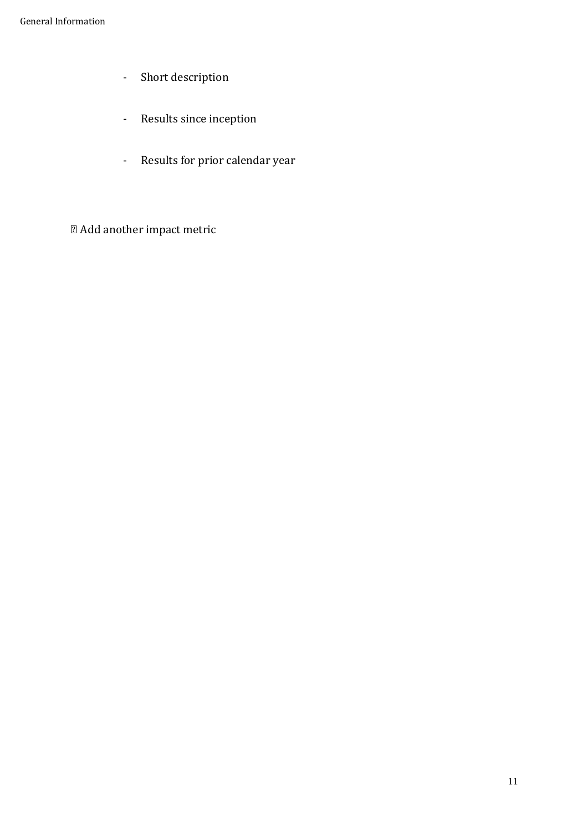- Short description
- Results since inception
- Results for prior calendar year
- <span id="page-10-0"></span>Add another impact metric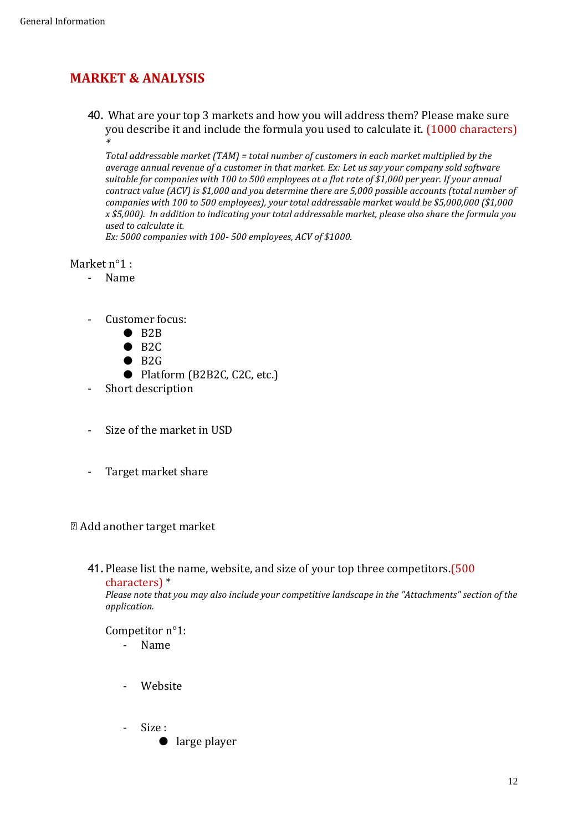# **MARKET & ANALYSIS**

40. What are your top 3 markets and how you will address them? Please make sure you describe it and include the formula you used to calculate it. (1000 characters) *\**

*Total addressable market (TAM) = total number of customers in each market multiplied by the average annual revenue of a customer in that market. Ex: Let us say your company sold software suitable for companies with 100 to 500 employees at a flat rate of \$1,000 per year. If your annual contract value (ACV) is \$1,000 and you determine there are 5,000 possible accounts (total number of companies with 100 to 500 employees), your total addressable market would be \$5,000,000 (\$1,000 x \$5,000). In addition to indicating your total addressable market, please also share the formula you used to calculate it.*

*Ex: 5000 companies with 100- 500 employees, ACV of \$1000.* 

#### Market n°1 :

- Name
- Customer focus:
	- $\bullet$  B<sub>2B</sub>
	- $\bullet$  B<sub>2C</sub>
	- $\bullet$  B<sub>2G</sub>
	- Platform (B2B2C, C2C, etc.)
- Short description
- Size of the market in USD
- Target market share

#### Add another target market

41.Please list the name, website, and size of your top three competitors.(500 characters) \*

*Please note that you may also include your competitive landscape in the "Attachments" section of the application.*

#### Competitor n°1:

- Name
- **Website**
- Size :
	- large player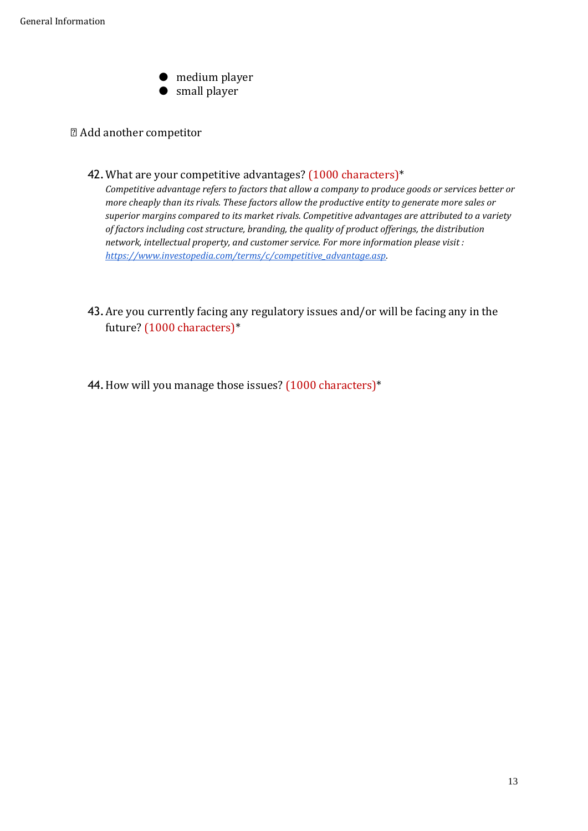● medium player ● small player

#### Add another competitor

42. What are your competitive advantages? (1000 characters)\*

*Competitive advantage refers to factors that allow a company to produce goods or services better or more cheaply than its rivals. These factors allow the productive entity to generate more sales or superior margins compared to its market rivals. Competitive advantages are attributed to a variety of factors including cost structure, branding, the quality of product offerings, the distribution network, intellectual property, and customer service. For more information please visit : [https://www.investopedia.com/terms/c/competitive\\_advantage.asp.](https://www.investopedia.com/terms/c/competitive_advantage.asp)* 

- 43.Are you currently facing any regulatory issues and/or will be facing any in the future? (1000 characters)\*
- <span id="page-12-0"></span>44. How will you manage those issues? (1000 characters)\*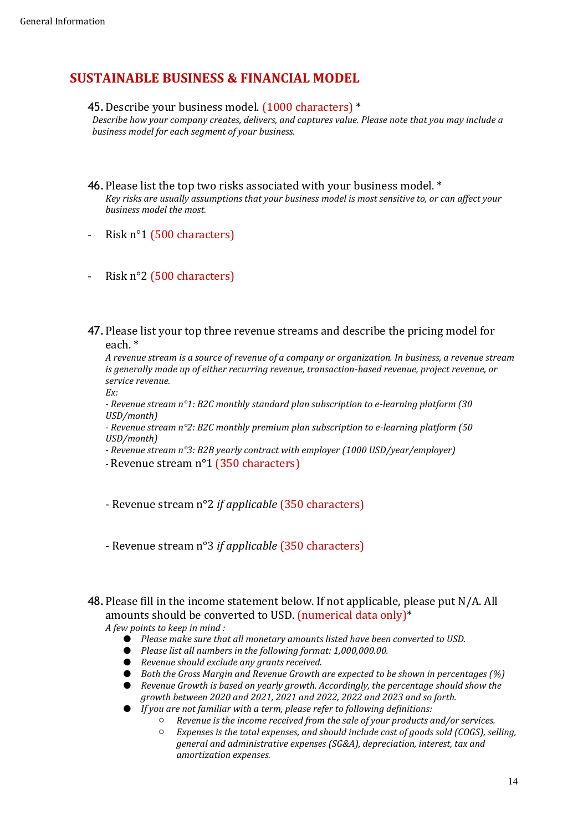# **SUSTAINABLE BUSINESS & FINANCIAL MODEL**

#### 45.Describe your business model. (1000 characters) \*

*Describe how your company creates, delivers, and captures value. Please note that you may include a business model for each segment of your business.*

- 46.Please list the top two risks associated with your business model. \* *Key risks are usually assumptions that your business model is most sensitive to, or can affect your business model the most.*
- Risk n°1 (500 characters)
- Risk n°2 (500 characters)
- 47.Please list your top three revenue streams and describe the pricing model for each. \*

*A revenue stream is a source of revenue of a company or organization. In business, a revenue stream is generally made up of either recurring revenue, transaction-based revenue, project revenue, or service revenue.*

*Ex:*

*- Revenue stream n°1: B2C monthly standard plan subscription to e-learning platform (30 USD/month)*

*- Revenue stream n°2: B2C monthly premium plan subscription to e-learning platform (50 USD/month)*

- *- Revenue stream n°3: B2B yearly contract with employer (1000 USD/year/employer)*
- *-* Revenue stream n°1 (350 characters)

- Revenue stream n°2 *if applicable* (350 characters)

- Revenue stream n°3 *if applicable* (350 characters)

48.Please fill in the income statement below. If not applicable, please put N/A. All amounts should be converted to USD. (numerical data only)\*

*A few points to keep in mind :*

- *Please make sure that all monetary amounts listed have been converted to USD.*
- *Please list all numbers in the following format: 1,000,000.00.*
- *Revenue should exclude any grants received.*
- *Both the Gross Margin and Revenue Growth are expected to be shown in percentages (%)*

● *Revenue Growth is based on yearly growth. Accordingly, the percentage should show the growth between 2020 and 2021, 2021 and 2022, 2022 and 2023 and so forth.*

- *If you are not familiar with a term, please refer to following definitions:*
	- *Revenue is the income received from the sale of your products and/or services.*
		- *Expenses is the total expenses, and should include cost of goods sold (COGS), selling, general and administrative expenses (SG&A), depreciation, interest, tax and amortization expenses.*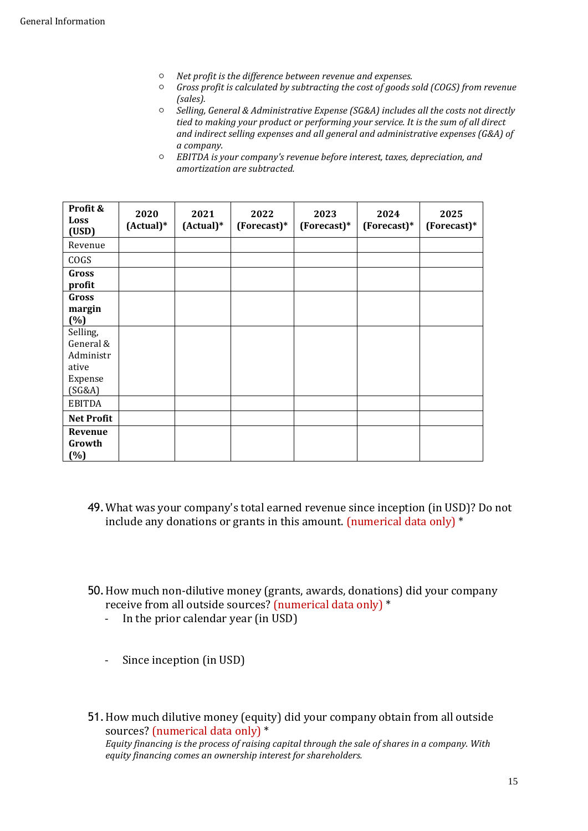- *Net profit is the difference between revenue and expenses.*
- *Gross profit is calculated by subtracting the cost of goods sold (COGS) from revenue (sales).*
- *Selling, General & Administrative Expense (SG&A) includes all the costs not directly tied to making your product or performing your service. It is the sum of all direct and indirect selling expenses and all general and administrative expenses (G&A) of a company.*
- *EBITDA is your company's revenue before interest, taxes, depreciation, and amortization are subtracted.*

| Profit &<br>Loss<br>(USD)                                        | 2020<br>$(Actual)*$ | 2021<br>$(Actual)*$ | 2022<br>$(Forecast)*$ | 2023<br>$(Forecast)*$ | 2024<br>$(Forecast)*$ | 2025<br>(Forecast)* |
|------------------------------------------------------------------|---------------------|---------------------|-----------------------|-----------------------|-----------------------|---------------------|
| Revenue                                                          |                     |                     |                       |                       |                       |                     |
| COGS                                                             |                     |                     |                       |                       |                       |                     |
| Gross<br>profit                                                  |                     |                     |                       |                       |                       |                     |
| Gross<br>margin<br>$(\%)$                                        |                     |                     |                       |                       |                       |                     |
| Selling,<br>General &<br>Administr<br>ative<br>Expense<br>(SG&A) |                     |                     |                       |                       |                       |                     |
| <b>EBITDA</b>                                                    |                     |                     |                       |                       |                       |                     |
| <b>Net Profit</b>                                                |                     |                     |                       |                       |                       |                     |
| Revenue<br>Growth<br>$(\%)$                                      |                     |                     |                       |                       |                       |                     |

- 49.What was your company's total earned revenue since inception (in USD)? Do not include any donations or grants in this amount. (numerical data only) \*
- 50.How much non-dilutive money (grants, awards, donations) did your company receive from all outside sources? (numerical data only) \*
	- In the prior calendar year (in USD)
	- Since inception (in USD)
- 51.How much dilutive money (equity) did your company obtain from all outside sources? (numerical data only) \* *Equity financing is the process of raising capital through the sale of shares in a company. With equity financing comes an ownership interest for shareholders.*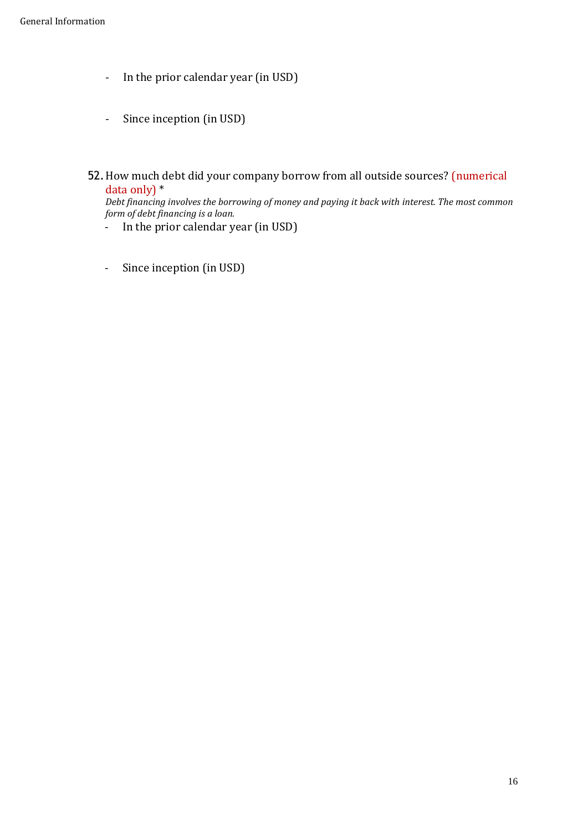- In the prior calendar year (in USD)
- Since inception (in USD)
- 52.How much debt did your company borrow from all outside sources? (numerical data only) \*

*Debt financing involves the borrowing of money and paying it back with interest. The most common form of debt financing is a loan.*

- In the prior calendar year (in USD)
- <span id="page-15-0"></span>- Since inception (in USD)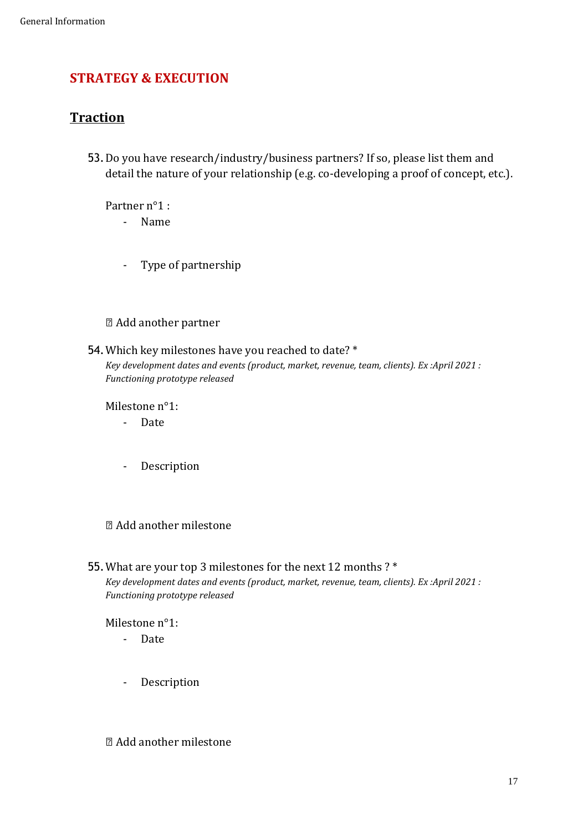# **STRATEGY & EXECUTION**

# <span id="page-16-0"></span>**Traction**

53.Do you have research/industry/business partners? If so, please list them and detail the nature of your relationship (e.g. co-developing a proof of concept, etc.).

Partner n°1 :

- Name

- Type of partnership

### Add another partner

54.Which key milestones have you reached to date? \* *Key development dates and events (product, market, revenue, team, clients). Ex :April 2021 : Functioning prototype released*

Milestone n°1:

- Date
- Description

### Add another milestone

### 55.What are your top 3 milestones for the next 12 months ? \*

*Key development dates and events (product, market, revenue, team, clients). Ex :April 2021 : Functioning prototype released*

Milestone n°1:

- Date
- Description

Add another milestone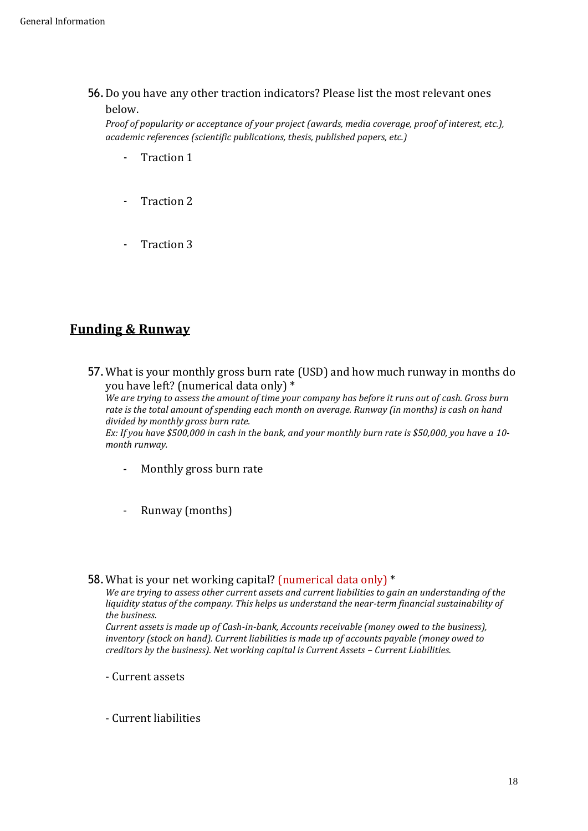56.Do you have any other traction indicators? Please list the most relevant ones below.

*Proof of popularity or acceptance of your project (awards, media coverage, proof of interest, etc.), academic references (scientific publications, thesis, published papers, etc.)*

- Traction 1
- Traction 2
- Traction 3

### <span id="page-17-0"></span>**Funding & Runway**

57.What is your monthly gross burn rate (USD) and how much runway in months do you have left? (numerical data only) \*

*We are trying to assess the amount of time your company has before it runs out of cash. Gross burn rate is the total amount of spending each month on average. Runway (in months) is cash on hand divided by monthly gross burn rate.*

*Ex: If you have \$500,000 in cash in the bank, and your monthly burn rate is \$50,000, you have a 10 month runway.*

- Monthly gross burn rate
- Runway (months)

#### 58.What is your net working capital? (numerical data only) \*

*We are trying to assess other current assets and current liabilities to gain an understanding of the liquidity status of the company. This helps us understand the near-term financial sustainability of the business.* 

*Current assets is made up of Cash-in-bank, Accounts receivable (money owed to the business), inventory (stock on hand). Current liabilities is made up of accounts payable (money owed to creditors by the business). Net working capital is Current Assets – Current Liabilities.* 

- Current assets

- Current liabilities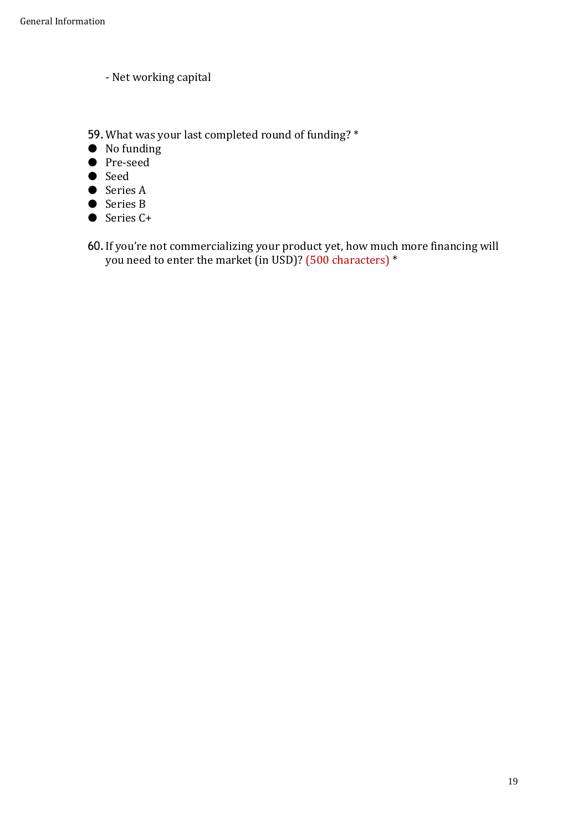- Net working capital
- 59.What was your last completed round of funding? \*
- No funding
- Pre-seed
- Seed
- Series A
- Series B
- Series C+
- 60.If you're not commercializing your product yet, how much more financing will you need to enter the market (in USD)? (500 characters) \*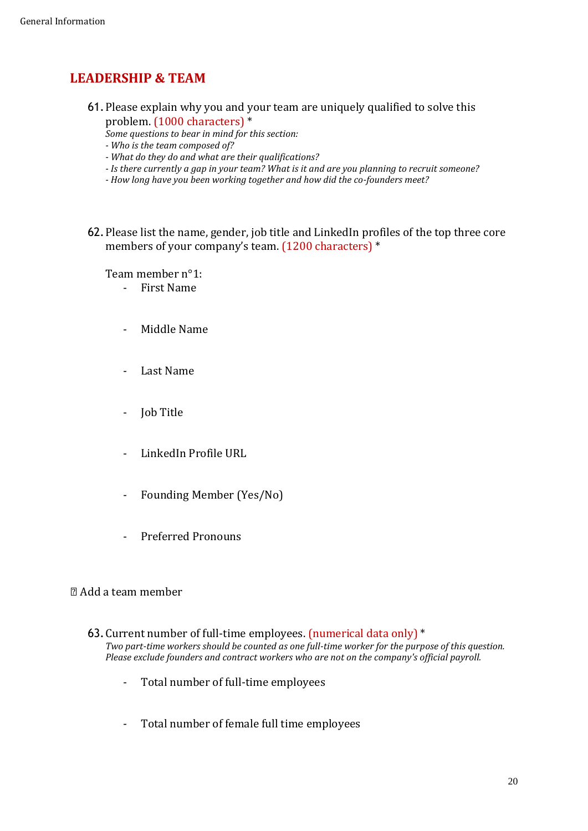# <span id="page-19-0"></span>**LEADERSHIP & TEAM**

- 61.Please explain why you and your team are uniquely qualified to solve this problem. (1000 characters) \*
	- *Some questions to bear in mind for this section:*
	- *- Who is the team composed of?*
	- *- What do they do and what are their qualifications?*
	- *- Is there currently a gap in your team? What is it and are you planning to recruit someone?*
	- *- How long have you been working together and how did the co-founders meet?*
- 62.Please list the name, gender, job title and LinkedIn profiles of the top three core members of your company's team. (1200 characters) \*

Team member n°1:

- First Name
- Middle Name
- Last Name
- Job Title
- LinkedIn Profile URL
- Founding Member (Yes/No)
- Preferred Pronouns

### Add a team member

- 63.Current number of full-time employees. (numerical data only) \* *Two part-time workers should be counted as one full-time worker for the purpose of this question. Please exclude founders and contract workers who are not on the company's official payroll.*
	- Total number of full-time employees
	- Total number of female full time employees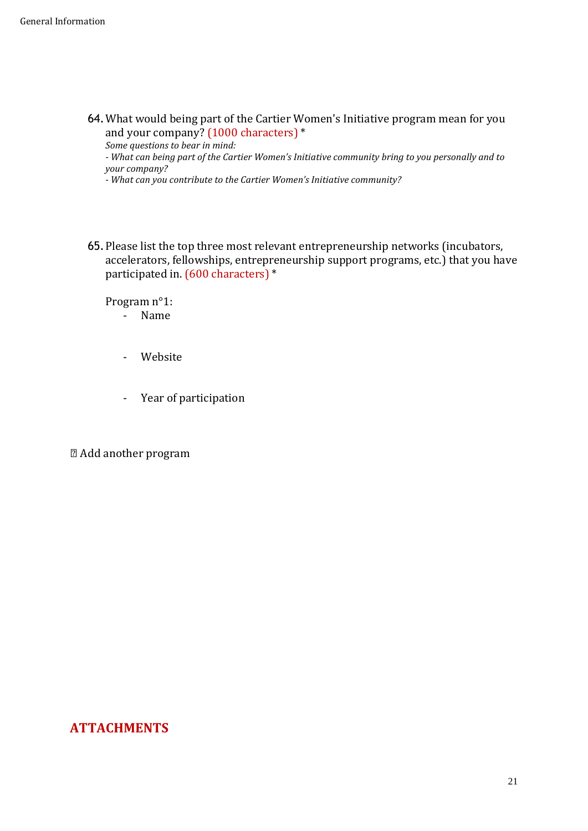64.What would being part of the Cartier Women's Initiative program mean for you and your company? (1000 characters) \*

*Some questions to bear in mind:*

*- What can being part of the Cartier Women's Initiative community bring to you personally and to your company?*

*- What can you contribute to the Cartier Women's Initiative community?*

65.Please list the top three most relevant entrepreneurship networks (incubators, accelerators, fellowships, entrepreneurship support programs, etc.) that you have participated in. (600 characters) \*

Program n°1:

- Name
- Website
- Year of participation

Add another program

### <span id="page-20-0"></span>**ATTACHMENTS**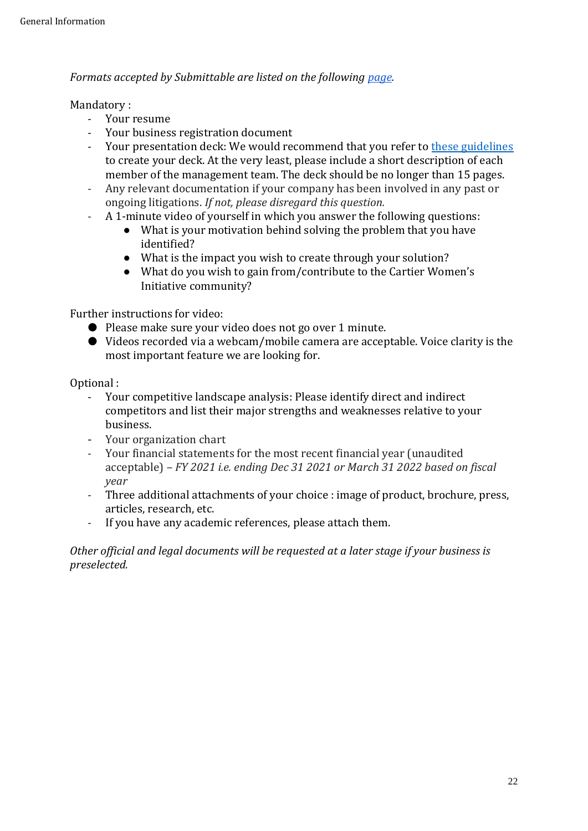*Formats accepted by Submittable are listed on the following [page.](https://submittable.help/en/articles/1711811-what-kinds-of-file-types-can-i-accept-in-my-form)*

### Mandatory :

- Your resume
- Your business registration document
- Your presentation deck: We would recommend that you refer to [these guidelines](https://www.sequoiacap.com/article/how-to-present-to-investors/) to create your deck. At the very least, please include a short description of each member of the management team. The deck should be no longer than 15 pages.
- Any relevant documentation if your company has been involved in any past or ongoing litigations. *If not, please disregard this question.*
- A 1-minute video of yourself in which you answer the following questions:
	- What is your motivation behind solving the problem that you have identified?
	- What is the impact you wish to create through your solution?
	- What do you wish to gain from/contribute to the Cartier Women's Initiative community?

Further instructions for video:

- Please make sure your video does not go over 1 minute.
- Videos recorded via a webcam/mobile camera are acceptable. Voice clarity is the most important feature we are looking for.

Optional :

- Your competitive landscape analysis: Please identify direct and indirect competitors and list their major strengths and weaknesses relative to your business.
- Your organization chart
- Your financial statements for the most recent financial year (unaudited acceptable) *– FY 2021 i.e. ending Dec 31 2021 or March 31 2022 based on fiscal year*
- Three additional attachments of your choice : image of product, brochure, press, articles, research, etc.
- If you have any academic references, please attach them.

*Other official and legal documents will be requested at a later stage if your business is preselected.*